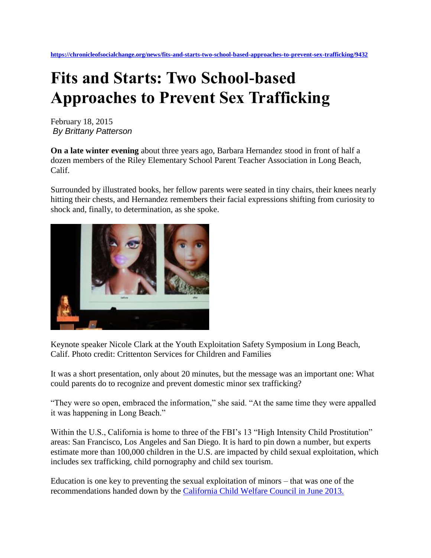**<https://chronicleofsocialchange.org/news/fits-and-starts-two-school-based-approaches-to-prevent-sex-trafficking/9432>**

## **Fits and Starts: Two School-based Approaches to Prevent Sex Trafficking**

February 18, 2015 *By Brittany Patterson*

**On a late winter evening** about three years ago, Barbara Hernandez stood in front of half a dozen members of the Riley Elementary School Parent Teacher Association in Long Beach, Calif.

Surrounded by illustrated books, her fellow parents were seated in tiny chairs, their knees nearly hitting their chests, and Hernandez remembers their facial expressions shifting from curiosity to shock and, finally, to determination, as she spoke.



Keynote speaker Nicole Clark at the Youth Exploitation Safety Symposium in Long Beach, Calif. Photo credit: Crittenton Services for Children and Families

It was a short presentation, only about 20 minutes, but the message was an important one: What could parents do to recognize and prevent domestic minor sex trafficking?

"They were so open, embraced the information," she said. "At the same time they were appalled it was happening in Long Beach."

Within the U.S., California is home to three of the FBI's 13 "High Intensity Child Prostitution" areas: San Francisco, Los Angeles and San Diego. It is hard to pin down a number, but experts estimate more than 100,000 children in the U.S. are impacted by child sexual exploitation, which includes sex trafficking, child pornography and child sex tourism.

Education is one key to preventing the sexual exploitation of minors – that was one of the recommendations handed down by the [California Child Welfare Council in June 2013.](http://www.chhs.ca.gov/CWCDOC/CSEC%20Project%20Plan%20-%20June%202013.pdf)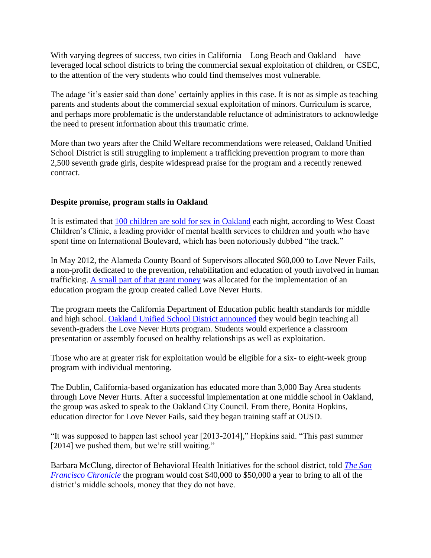With varying degrees of success, two cities in California – Long Beach and Oakland – have leveraged local school districts to bring the commercial sexual exploitation of children, or CSEC, to the attention of the very students who could find themselves most vulnerable.

The adage 'it's easier said than done' certainly applies in this case. It is not as simple as teaching parents and students about the commercial sexual exploitation of minors. Curriculum is scarce, and perhaps more problematic is the understandable reluctance of administrators to acknowledge the need to present information about this traumatic crime.

More than two years after the Child Welfare recommendations were released, Oakland Unified School District is still struggling to implement a trafficking prevention program to more than 2,500 seventh grade girls, despite widespread praise for the program and a recently renewed contract.

## **Despite promise, program stalls in Oakland**

It is estimated that [100 children are sold for sex in Oakland](http://www.westcoastcc.org/wp-content/uploads/2012/05/WCC_SEM_Needs-and-Strengths_FINAL.pdf) each night, according to West Coast Children's Clinic, a leading provider of mental health services to children and youth who have spent time on International Boulevard, which has been notoriously dubbed "the track."

In May 2012, the Alameda County Board of Supervisors allocated \$60,000 to Love Never Fails, a non-profit dedicated to the prevention, rehabilitation and education of youth involved in human trafficking. [A small part of that grant money](http://www.acgov.org/board/bos_calendar/documents/DocsAgendaReg_07_24_12/GENERAL%20ADMINISTRATION/Regular%20Calendar/Miley_Love_Never_Fails_Center_of_Hope.pdf) was allocated for the implementation of an education program the group created called Love Never Hurts.

The program meets the California Department of Education public health standards for middle and high school. [Oakland Unified School District announced](https://chronicleofsocialchange.org/news/fits-and-starts-two-school-based-approaches-to-prevent-sex-trafficking/%20https:/chronicleofsocialchange.org/news/oakland-schools-teach-trafficking-prevention-in-schools/3818) they would begin teaching all seventh-graders the Love Never Hurts program. Students would experience a classroom presentation or assembly focused on healthy relationships as well as exploitation.

Those who are at greater risk for exploitation would be eligible for a six- to eight-week group program with individual mentoring.

The Dublin, California-based organization has educated more than 3,000 Bay Area students through Love Never Hurts. After a successful implementation at one middle school in Oakland, the group was asked to speak to the Oakland City Council. From there, Bonita Hopkins, education director for Love Never Fails, said they began training staff at OUSD.

"It was supposed to happen last school year [2013-2014]," Hopkins said. "This past summer [2014] we pushed them, but we're still waiting."

Barbara McClung, director of Behavioral Health Initiatives for the school district, told *[The San](http://www.sfgate.com/crime/article/Oakland-schools-mission-to-end-child-trafficking-5080256.phphttp:/www.sfgate.com/crime/article/Oakland-schools-mission-to-end-child-trafficking-5080256.php)  [Francisco Chronicle](http://www.sfgate.com/crime/article/Oakland-schools-mission-to-end-child-trafficking-5080256.phphttp:/www.sfgate.com/crime/article/Oakland-schools-mission-to-end-child-trafficking-5080256.php)* the program would cost \$40,000 to \$50,000 a year to bring to all of the district's middle schools, money that they do not have.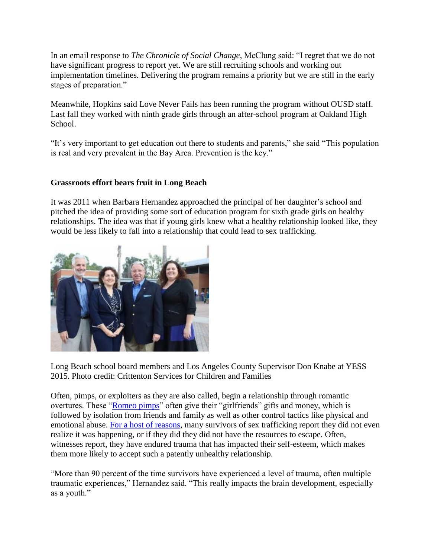In an email response to *The Chronicle of Social Change*, McClung said: "I regret that we do not have significant progress to report yet. We are still recruiting schools and working out implementation timelines. Delivering the program remains a priority but we are still in the early stages of preparation."

Meanwhile, Hopkins said Love Never Fails has been running the program without OUSD staff. Last fall they worked with ninth grade girls through an after-school program at Oakland High School.

"It's very important to get education out there to students and parents," she said "This population is real and very prevalent in the Bay Area. Prevention is the key."

## **Grassroots effort bears fruit in Long Beach**

It was 2011 when Barbara Hernandez approached the principal of her daughter's school and pitched the idea of providing some sort of education program for sixth grade girls on healthy relationships. The idea was that if young girls knew what a healthy relationship looked like, they would be less likely to fall into a relationship that could lead to sex trafficking.



Long Beach school board members and Los Angeles County Supervisor Don Knabe at YESS 2015. Photo credit: Crittenton Services for Children and Families

Often, pimps, or exploiters as they are also called, begin a relationship through romantic overtures. These ["Romeo pimps"](http://www.government.nl/issues/human-trafficking/romeo-pimps-loverboys) often give their "girlfriends" gifts and money, which is followed by isolation from friends and family as well as other control tactics like physical and emotional abuse. [For a host of reasons,](http://www.traffickingresourcecenter.org/sites/default/files/Understanding%20Victim%20Mindsets.pdf) many survivors of sex trafficking report they did not even realize it was happening, or if they did they did not have the resources to escape. Often, witnesses report, they have endured trauma that has impacted their self-esteem, which makes them more likely to accept such a patently unhealthy relationship.

"More than 90 percent of the time survivors have experienced a level of trauma, often multiple traumatic experiences," Hernandez said. "This really impacts the brain development, especially as a youth."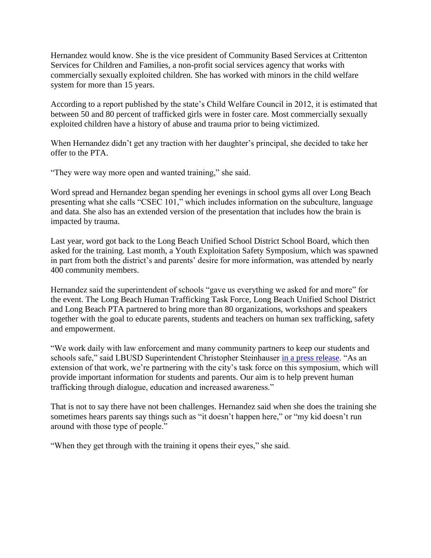Hernandez would know. She is the vice president of Community Based Services at Crittenton Services for Children and Families, a non-profit social services agency that works with commercially sexually exploited children. She has worked with minors in the child welfare system for more than 15 years.

According to a report published by the state's Child Welfare Council in 2012, it is estimated that between 50 and 80 percent of trafficked girls were in foster care. Most commercially sexually exploited children have a history of abuse and trauma prior to being victimized.

When Hernandez didn't get any traction with her daughter's principal, she decided to take her offer to the PTA.

"They were way more open and wanted training," she said.

Word spread and Hernandez began spending her evenings in school gyms all over Long Beach presenting what she calls "CSEC 101," which includes information on the subculture, language and data. She also has an extended version of the presentation that includes how the brain is impacted by trauma.

Last year, word got back to the Long Beach Unified School District School Board, which then asked for the training. Last month, a Youth Exploitation Safety Symposium, which was spawned in part from both the district's and parents' desire for more information, was attended by nearly 400 community members.

Hernandez said the superintendent of schools "gave us everything we asked for and more" for the event. The Long Beach Human Trafficking Task Force, Long Beach Unified School District and Long Beach PTA partnered to bring more than 80 organizations, workshops and speakers together with the goal to educate parents, students and teachers on human sex trafficking, safety and empowerment.

"We work daily with law enforcement and many community partners to keep our students and schools safe," said LBUSD Superintendent Christopher Steinhauser [in a press release.](http://crittentonsocal.org/long-beach-task-force-to-offer-symposium-on-protecting-youth-from-human-trafficking/) "As an extension of that work, we're partnering with the city's task force on this symposium, which will provide important information for students and parents. Our aim is to help prevent human trafficking through dialogue, education and increased awareness."

That is not to say there have not been challenges. Hernandez said when she does the training she sometimes hears parents say things such as "it doesn't happen here," or "my kid doesn't run around with those type of people."

"When they get through with the training it opens their eyes," she said.